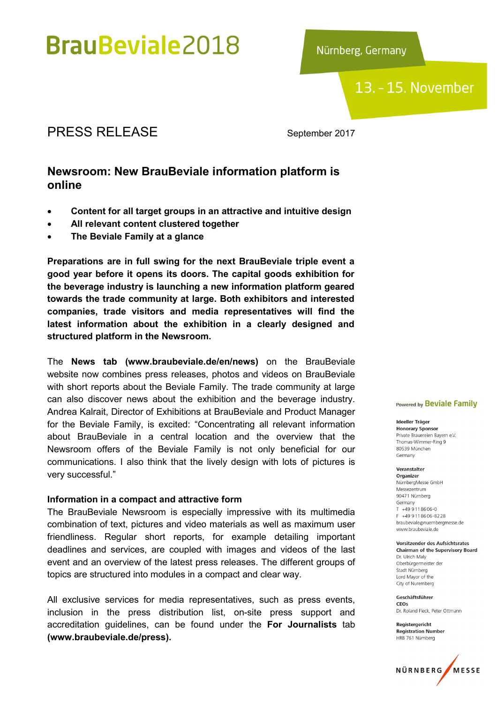# **BrauBeviale2018**

Nürnberg, Germany

13. - 15. November

# PRESS RELEASE September 2017

# Newsroom: New BrauBeviale information platform is online

- Content for all target groups in an attractive and intuitive design
- All relevant content clustered together
- The Beviale Family at a glance

Preparations are in full swing for the next BrauBeviale triple event a good year before it opens its doors. The capital goods exhibition for the beverage industry is launching a new information platform geared towards the trade community at large. Both exhibitors and interested companies, trade visitors and media representatives will find the latest information about the exhibition in a clearly designed and structured platform in the Newsroom.

The News tab (www.braubeviale.de/en/news) on the BrauBeviale website now combines press releases, photos and videos on BrauBeviale with short reports about the Beviale Family. The trade community at large can also discover news about the exhibition and the beverage industry. Andrea Kalrait, Director of Exhibitions at BrauBeviale and Product Manager for the Beviale Family, is excited: "Concentrating all relevant information about BrauBeviale in a central location and the overview that the Newsroom offers of the Beviale Family is not only beneficial for our communications. I also think that the lively design with lots of pictures is very successful."

## Information in a compact and attractive form

The BrauBeviale Newsroom is especially impressive with its multimedia combination of text, pictures and video materials as well as maximum user friendliness. Regular short reports, for example detailing important deadlines and services, are coupled with images and videos of the last event and an overview of the latest press releases. The different groups of topics are structured into modules in a compact and clear way.

All exclusive services for media representatives, such as press events, inclusion in the press distribution list, on-site press support and accreditation guidelines, can be found under the For Journalists tab (www.braubeviale.de/press).

#### Powered by **Beviale Family**

Ideeller Träger **Honorary Sponsor** Private Brauereien Bayern e.V. Thomas-Wimmer-Ring 9 80539 München Germany

Veranstalter Organizer NürnbergMesse GmbH Messezentrum 90471 Nürnberg Germany  $T + 499118606 - 0$ F +49 9 11 8 6 0 6 - 8 2 2 8 braubeviale@nuernbergmesse.de www.braubeviale.de

Vorsitzender des Aufsichtsrates **Chairman of the Supervisory Board** Dr. Ulrich Malv Oberbürgermeister der Stadt Nürnberg Lord Mayor of the City of Nuremberg

Geschäftsführer  $C E$ Os Dr. Roland Fleck, Peter Ottmann

Registergericht **Registration Number** HRB 761 Nürnberg